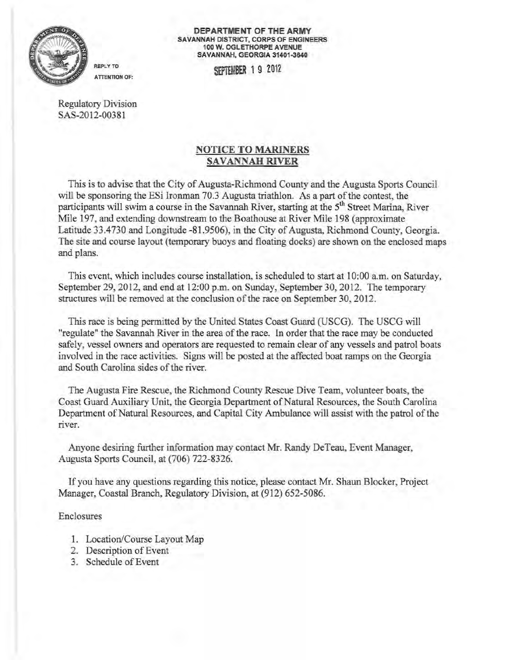

DEPARTMENT OF THE ARMY SAVANNAH DISTRICT, CORPS OF ENGINEERS 100 W. OGLETHORPE A VENUE SAVANNAH, GEORGIA 31401-3640

REPLY TO SEPTEMBER 1 9 2012

Regulatory Division SAS-2012-00381

**ATTENTION OF:** 

## NOTICE TO MARINERS SAVANNAH RIVER

This is to advise that the City of Augusta-Richmond County and the Augusta Sports Council will be sponsoring the ESi Ironman 70.3 Augusta triathlon. As a part of the contest, the participants will swim a course in the Savannah River, starting at the  $5<sup>th</sup>$  Street Marina, River Mile 197, and extending downstream to the Boathouse at River Mile 198 (approximate Latitude 33.4730 and Longitude -81 .9506), in the City of Augusta, Richmond County, Georgia. The site and course layout (temporary buoys and floating docks) are shown on the enclosed maps and plans.

This event, which includes course installation, is scheduled to start at 10:00 a.m. on Saturday, September 29, 2012, and end at 12:00 p.m. on Sunday, September 30, 2012. The temporary structures will be removed at the conclusion of the race on September 30,2012.

This race is being permitted by the United States Coast Guard (USCG). The USCG will "regulate" the Savannah River in the area of the race. In order that the race may be conducted safely, vessel owners and operators are requested to remain clear of any vessels and patrol boats involved in the race activities. Signs will be posted at the affected boat ramps on the Georgia and South Carolina sides of the river.

The Augusta Fire Rescue, the Richmond County Rescue Dive Team, volunteer boats, the Coast Guard Auxiliary Unit, the Georgia Department of Natural Resources, the South Carolina Department of Natural Resources, and Capital City Ambulance will assist with the patrol of the river.

Anyone desiring further information may contact Mr. Randy DeTeau, Event Manager, Augusta Sports Council, at (706) 722-8326.

Ifyou have any questions regarding this notice, please contact Mr. Shaun Blocker, Project Manager, Coastal Branch, Regulatory Division, at (912) 652-5086.

## Enclosures

- 1. Location/Course Layout Map
- 2. Description of Event
- 3. Schedule of Event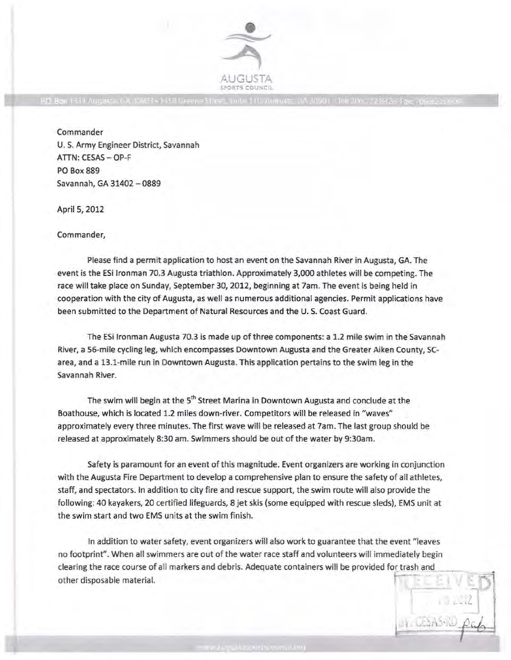

RC, Box 1331 Augusta, GA 30809 - 1458 Greene Stroet, Suite 110, Augusta, GA 30801 - Tel: 706, J.2 8323 Ea

Commander U. S. Army Engineer District, Savannah ATTN: CESAS- OP-F PO Box 889 Savannah, GA 31402-0889

April 5, 2012

Commander,

Please find a permit application to host an event on the Savannah River in Augusta, GA. The event is the ESi Ironman 70.3 Augusta triathlon. Approximately 3,000 athletes will be competing. The race will take place on Sunday, September 30, 2012, beginning at 7am. The event is being held in cooperation with the city of Augusta, as well as numerous additional agencies. Permit applications have been submitted to the Department of Natural Resources and the U.S. Coast Guard.

The ESi lronman Augusta 70.3 is made up of three components: a 1.2 mile swim in the Savannah River, a 56-mile cycling leg, which encompasses Downtown Augusta and the Greater Aiken County, SCarea, and a 13.1-mile run in Downtown Augusta. This application pertains to the swim leg in the Savannah River.

The swim will begin at the 5<sup>th</sup> Street Marina in Downtown Augusta and conclude at the Boathouse, which is located 1.2 miles down-river. Competitors will be released in "waves" approximately every three minutes. The first wave will be released at 7am. The last group should be released at approximately 8:30am. Swimmers should be out of the water by 9:30am.

Safety is paramount for an event of this magnitude. Event organizers are working in conjunction with the Augusta Fire Department to develop a comprehensive plan to ensure the safety of all athletes, staff, and spectators. In addition to city fire and rescue support, the swim route will also provide the following: 40 kayakers, 20 certified lifeguards, 8 jet skis (some equipped with rescue sleds), EMS unit at the swim start and two EMS units at the swim finish.

In addition to water safety, event organizers will also work to guarantee that the event "leaves no footprint". When all swimmers are out of the water race staff and volunteers will immediately begin clearing the race course of all markers and debris. Adequate containers will be provided for trash and other disposable material.

ELEDAS-ND pap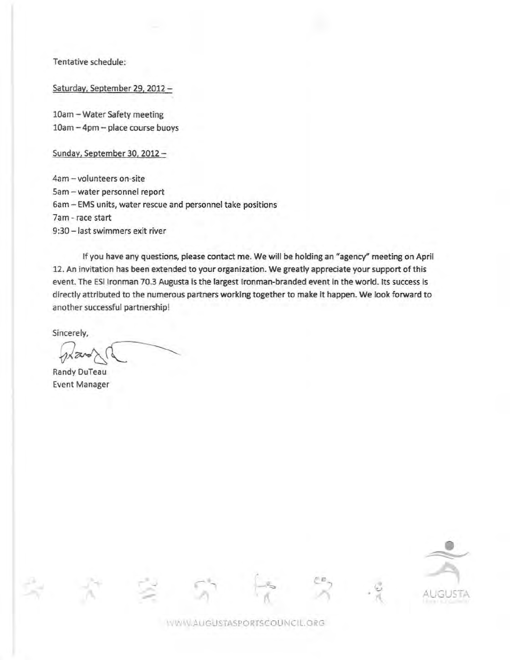Tentative schedule:

Saturday, September 29, 2012

10am - Water Safety meeting 10am - 4pm - place course buoys

Sunday, September 30, 2012

4am -volunteers on-site Sam - water personnel report Gam -EMS units, water rescue and personnel take positions 7am- race start 9:30 - last swimmers exit river

If you have any questions, please contact me. We will be holding an "agency" meeting on April 12. An invitation has been extended to your organization. We greatly appreciate your support of this event. The ESi tronman 70.3 Augusta is the largest lronman-branded event in the world. Its success is directly attributed to the numerous partners working together to make it happen. We look forward to another successful partnership!

Sincerely,

Randy DuTeau Event Manager



WWW.AUGUSTASPORTSCOUNCIL.ORG

, *c* 

 $\sim$   $\sim$ 

 $\sim$